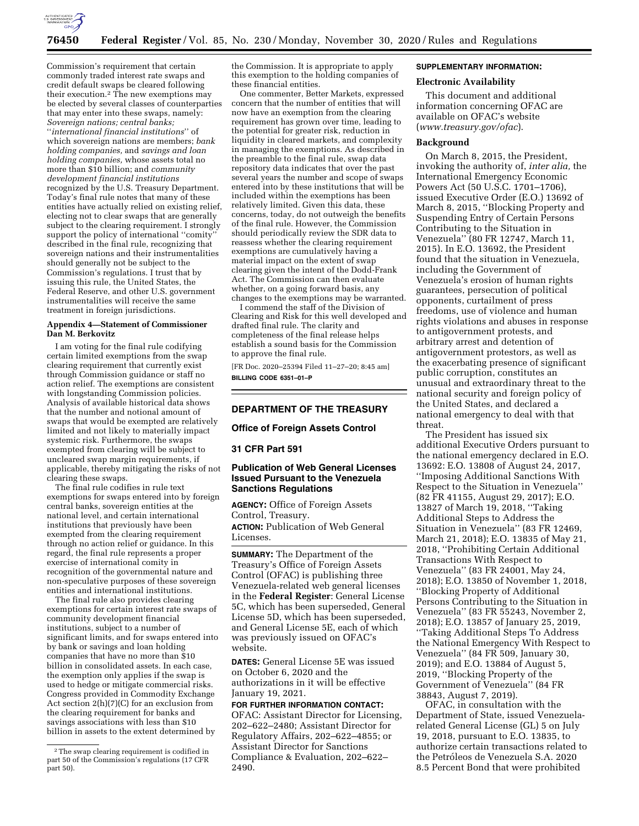

Commission's requirement that certain commonly traded interest rate swaps and credit default swaps be cleared following their execution.2 The new exemptions may be elected by several classes of counterparties that may enter into these swaps, namely: *Sovereign nations; central banks;*  ''*international financial institutions*'' of which sovereign nations are members; *bank holding companies,* and *savings and loan holding companies,* whose assets total no more than \$10 billion; and *community development financial institutions*  recognized by the U.S. Treasury Department. Today's final rule notes that many of these entities have actually relied on existing relief, electing not to clear swaps that are generally subject to the clearing requirement. I strongly support the policy of international ''comity'' described in the final rule, recognizing that sovereign nations and their instrumentalities should generally not be subject to the Commission's regulations. I trust that by issuing this rule, the United States, the Federal Reserve, and other U.S. government instrumentalities will receive the same treatment in foreign jurisdictions.

### **Appendix 4—Statement of Commissioner Dan M. Berkovitz**

I am voting for the final rule codifying certain limited exemptions from the swap clearing requirement that currently exist through Commission guidance or staff no action relief. The exemptions are consistent with longstanding Commission policies. Analysis of available historical data shows that the number and notional amount of swaps that would be exempted are relatively limited and not likely to materially impact systemic risk. Furthermore, the swaps exempted from clearing will be subject to uncleared swap margin requirements, if applicable, thereby mitigating the risks of not clearing these swaps.

The final rule codifies in rule text exemptions for swaps entered into by foreign central banks, sovereign entities at the national level, and certain international institutions that previously have been exempted from the clearing requirement through no action relief or guidance. In this regard, the final rule represents a proper exercise of international comity in recognition of the governmental nature and non-speculative purposes of these sovereign entities and international institutions.

The final rule also provides clearing exemptions for certain interest rate swaps of community development financial institutions, subject to a number of significant limits, and for swaps entered into by bank or savings and loan holding companies that have no more than \$10 billion in consolidated assets. In each case, the exemption only applies if the swap is used to hedge or mitigate commercial risks. Congress provided in Commodity Exchange Act section 2(h)(7)(C) for an exclusion from the clearing requirement for banks and savings associations with less than \$10 billion in assets to the extent determined by

the Commission. It is appropriate to apply this exemption to the holding companies of these financial entities.

One commenter, Better Markets, expressed concern that the number of entities that will now have an exemption from the clearing requirement has grown over time, leading to the potential for greater risk, reduction in liquidity in cleared markets, and complexity in managing the exemptions. As described in the preamble to the final rule, swap data repository data indicates that over the past several years the number and scope of swaps entered into by these institutions that will be included within the exemptions has been relatively limited. Given this data, these concerns, today, do not outweigh the benefits of the final rule. However, the Commission should periodically review the SDR data to reassess whether the clearing requirement exemptions are cumulatively having a material impact on the extent of swap clearing given the intent of the Dodd-Frank Act. The Commission can then evaluate whether, on a going forward basis, any changes to the exemptions may be warranted.

I commend the staff of the Division of Clearing and Risk for this well developed and drafted final rule. The clarity and completeness of the final release helps establish a sound basis for the Commission to approve the final rule.

[FR Doc. 2020–25394 Filed 11–27–20; 8:45 am] **BILLING CODE 6351–01–P** 

### **DEPARTMENT OF THE TREASURY**

### **Office of Foreign Assets Control**

## **31 CFR Part 591**

## **Publication of Web General Licenses Issued Pursuant to the Venezuela Sanctions Regulations**

**AGENCY:** Office of Foreign Assets Control, Treasury. **ACTION:** Publication of Web General Licenses.

**SUMMARY:** The Department of the Treasury's Office of Foreign Assets Control (OFAC) is publishing three Venezuela-related web general licenses in the **Federal Register**: General License 5C, which has been superseded, General License 5D, which has been superseded, and General License 5E, each of which was previously issued on OFAC's website.

**DATES:** General License 5E was issued on October 6, 2020 and the authorizations in it will be effective January 19, 2021.

# **FOR FURTHER INFORMATION CONTACT:**  OFAC: Assistant Director for Licensing, 202–622–2480; Assistant Director for Regulatory Affairs, 202–622–4855; or Assistant Director for Sanctions Compliance & Evaluation, 202–622– 2490.

#### **SUPPLEMENTARY INFORMATION:**

### **Electronic Availability**

This document and additional information concerning OFAC are available on OFAC's website (*[www.treasury.gov/ofac](http://www.treasury.gov/ofac)*).

#### **Background**

On March 8, 2015, the President, invoking the authority of, *inter alia,* the International Emergency Economic Powers Act (50 U.S.C. 1701–1706), issued Executive Order (E.O.) 13692 of March 8, 2015, ''Blocking Property and Suspending Entry of Certain Persons Contributing to the Situation in Venezuela'' (80 FR 12747, March 11, 2015). In E.O. 13692, the President found that the situation in Venezuela, including the Government of Venezuela's erosion of human rights guarantees, persecution of political opponents, curtailment of press freedoms, use of violence and human rights violations and abuses in response to antigovernment protests, and arbitrary arrest and detention of antigovernment protestors, as well as the exacerbating presence of significant public corruption, constitutes an unusual and extraordinary threat to the national security and foreign policy of the United States, and declared a national emergency to deal with that threat.

The President has issued six additional Executive Orders pursuant to the national emergency declared in E.O. 13692: E.O. 13808 of August 24, 2017, ''Imposing Additional Sanctions With Respect to the Situation in Venezuela'' (82 FR 41155, August 29, 2017); E.O. 13827 of March 19, 2018, ''Taking Additional Steps to Address the Situation in Venezuela'' (83 FR 12469, March 21, 2018); E.O. 13835 of May 21, 2018, ''Prohibiting Certain Additional Transactions With Respect to Venezuela'' (83 FR 24001, May 24, 2018); E.O. 13850 of November 1, 2018, ''Blocking Property of Additional Persons Contributing to the Situation in Venezuela'' (83 FR 55243, November 2, 2018); E.O. 13857 of January 25, 2019, ''Taking Additional Steps To Address the National Emergency With Respect to Venezuela'' (84 FR 509, January 30, 2019); and E.O. 13884 of August 5, 2019, ''Blocking Property of the Government of Venezuela'' (84 FR 38843, August 7, 2019).

OFAC, in consultation with the Department of State, issued Venezuelarelated General License (GL) 5 on July 19, 2018, pursuant to E.O. 13835, to authorize certain transactions related to the Petróleos de Venezuela S.A. 2020 8.5 Percent Bond that were prohibited

<sup>2</sup>The swap clearing requirement is codified in part 50 of the Commission's regulations (17 CFR part 50).